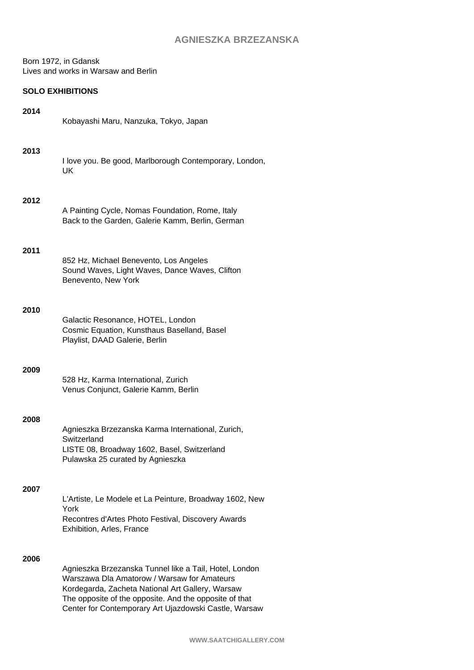Born 1972, in Gdansk Lives and works in Warsaw and Berlin

## **SOLO EXHIBITIONS**

| 2014 | Kobayashi Maru, Nanzuka, Tokyo, Japan                                                                                                                                                                                                                                        |
|------|------------------------------------------------------------------------------------------------------------------------------------------------------------------------------------------------------------------------------------------------------------------------------|
| 2013 | I love you. Be good, Marlborough Contemporary, London,<br>UK                                                                                                                                                                                                                 |
| 2012 | A Painting Cycle, Nomas Foundation, Rome, Italy<br>Back to the Garden, Galerie Kamm, Berlin, German                                                                                                                                                                          |
| 2011 | 852 Hz, Michael Benevento, Los Angeles<br>Sound Waves, Light Waves, Dance Waves, Clifton<br>Benevento, New York                                                                                                                                                              |
| 2010 | Galactic Resonance, HOTEL, London<br>Cosmic Equation, Kunsthaus Baselland, Basel<br>Playlist, DAAD Galerie, Berlin                                                                                                                                                           |
| 2009 | 528 Hz, Karma International, Zurich<br>Venus Conjunct, Galerie Kamm, Berlin                                                                                                                                                                                                  |
| 2008 | Agnieszka Brzezanska Karma International, Zurich,<br>Switzerland<br>LISTE 08, Broadway 1602, Basel, Switzerland<br>Pulawska 25 curated by Agnieszka                                                                                                                          |
| 2007 | L'Artiste, Le Modele et La Peinture, Broadway 1602, New<br>York<br>Recontres d'Artes Photo Festival, Discovery Awards<br>Exhibition, Arles, France                                                                                                                           |
| 2006 | Agnieszka Brzezanska Tunnel like a Tail, Hotel, London<br>Warszawa Dla Amatorow / Warsaw for Amateurs<br>Kordegarda, Zacheta National Art Gallery, Warsaw<br>The opposite of the opposite. And the opposite of that<br>Center for Contemporary Art Ujazdowski Castle, Warsaw |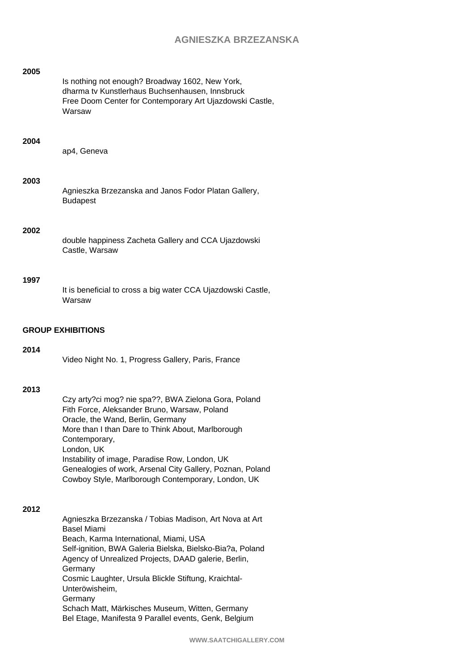| 2005                     | Is nothing not enough? Broadway 1602, New York,<br>dharma tv Kunstlerhaus Buchsenhausen, Innsbruck<br>Free Doom Center for Contemporary Art Ujazdowski Castle,<br>Warsaw                                                                                                                                                                                                                                                                                |  |
|--------------------------|---------------------------------------------------------------------------------------------------------------------------------------------------------------------------------------------------------------------------------------------------------------------------------------------------------------------------------------------------------------------------------------------------------------------------------------------------------|--|
| 2004                     | ap4, Geneva                                                                                                                                                                                                                                                                                                                                                                                                                                             |  |
| 2003                     | Agnieszka Brzezanska and Janos Fodor Platan Gallery,<br><b>Budapest</b>                                                                                                                                                                                                                                                                                                                                                                                 |  |
| 2002                     | double happiness Zacheta Gallery and CCA Ujazdowski<br>Castle, Warsaw                                                                                                                                                                                                                                                                                                                                                                                   |  |
| 1997                     | It is beneficial to cross a big water CCA Ujazdowski Castle,<br>Warsaw                                                                                                                                                                                                                                                                                                                                                                                  |  |
| <b>GROUP EXHIBITIONS</b> |                                                                                                                                                                                                                                                                                                                                                                                                                                                         |  |
| 2014                     | Video Night No. 1, Progress Gallery, Paris, France                                                                                                                                                                                                                                                                                                                                                                                                      |  |
| 2013                     | Czy arty?ci mog? nie spa??, BWA Zielona Gora, Poland<br>Fith Force, Aleksander Bruno, Warsaw, Poland<br>Oracle, the Wand, Berlin, Germany<br>More than I than Dare to Think About, Marlborough<br>Contemporary,<br>London, UK<br>Instability of image, Paradise Row, London, UK<br>Genealogies of work, Arsenal City Gallery, Poznan, Poland<br>Cowboy Style, Marlborough Contemporary, London, UK                                                      |  |
| 2012                     | Agnieszka Brzezanska / Tobias Madison, Art Nova at Art<br><b>Basel Miami</b><br>Beach, Karma International, Miami, USA<br>Self-ignition, BWA Galeria Bielska, Bielsko-Bia?a, Poland<br>Agency of Unrealized Projects, DAAD galerie, Berlin,<br>Germany<br>Cosmic Laughter, Ursula Blickle Stiftung, Kraichtal-<br>Unteröwisheim,<br>Germany<br>Schach Matt, Märkisches Museum, Witten, Germany<br>Bel Etage, Manifesta 9 Parallel events, Genk, Belgium |  |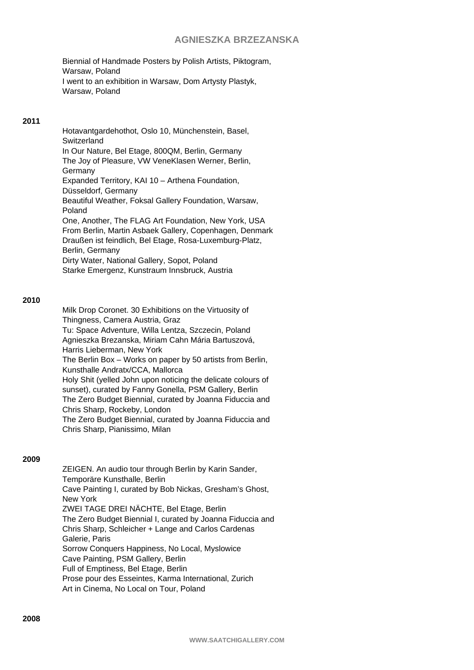Biennial of Handmade Posters by Polish Artists, Piktogram, Warsaw, Poland I went to an exhibition in Warsaw, Dom Artysty Plastyk, Warsaw, Poland

### **2011**

Hotavantgardehothot, Oslo 10, Münchenstein, Basel, **Switzerland** In Our Nature, Bel Etage, 800QM, Berlin, Germany The Joy of Pleasure, VW VeneKlasen Werner, Berlin, **Germany** Expanded Territory, KAI 10 – Arthena Foundation, Düsseldorf, Germany Beautiful Weather, Foksal Gallery Foundation, Warsaw, Poland One, Another, The FLAG Art Foundation, New York, USA From Berlin, Martin Asbaek Gallery, Copenhagen, Denmark Draußen ist feindlich, Bel Etage, Rosa-Luxemburg-Platz, Berlin, Germany Dirty Water, National Gallery, Sopot, Poland Starke Emergenz, Kunstraum Innsbruck, Austria

### **2010**

Milk Drop Coronet. 30 Exhibitions on the Virtuosity of Thingness, Camera Austria, Graz Tu: Space Adventure, Willa Lentza, Szczecin, Poland Agnieszka Brezanska, Miriam Cahn Mária Bartuszová, Harris Lieberman, New York The Berlin Box – Works on paper by 50 artists from Berlin, Kunsthalle Andratx/CCA, Mallorca Holy Shit (yelled John upon noticing the delicate colours of sunset), curated by Fanny Gonella, PSM Gallery, Berlin The Zero Budget Biennial, curated by Joanna Fiduccia and Chris Sharp, Rockeby, London The Zero Budget Biennial, curated by Joanna Fiduccia and Chris Sharp, Pianissimo, Milan

#### **2009**

ZEIGEN. An audio tour through Berlin by Karin Sander, Temporäre Kunsthalle, Berlin Cave Painting I, curated by Bob Nickas, Gresham's Ghost, New York ZWEI TAGE DREI NÄCHTE, Bel Etage, Berlin The Zero Budget Biennial I, curated by Joanna Fiduccia and Chris Sharp, Schleicher + Lange and Carlos Cardenas Galerie, Paris Sorrow Conquers Happiness, No Local, Myslowice Cave Painting, PSM Gallery, Berlin Full of Emptiness, Bel Etage, Berlin Prose pour des Esseintes, Karma International, Zurich Art in Cinema, No Local on Tour, Poland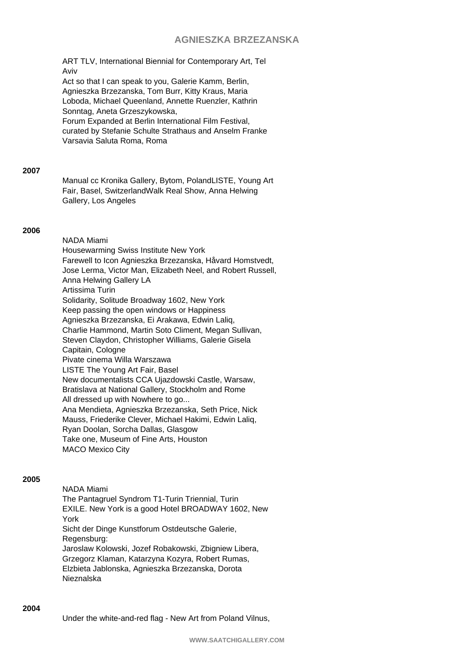ART TLV, International Biennial for Contemporary Art, Tel Aviv

Act so that I can speak to you, Galerie Kamm, Berlin, Agnieszka Brzezanska, Tom Burr, Kitty Kraus, Maria Loboda, Michael Queenland, Annette Ruenzler, Kathrin Sonntag, Aneta Grzeszykowska, Forum Expanded at Berlin International Film Festival, curated by Stefanie Schulte Strathaus and Anselm Franke

Varsavia Saluta Roma, Roma

### **2007**

Manual cc Kronika Gallery, Bytom, PolandLISTE, Young Art Fair, Basel, SwitzerlandWalk Real Show, Anna Helwing Gallery, Los Angeles

### **2006**

NADA Miami Housewarming Swiss Institute New York Farewell to Icon Agnieszka Brzezanska, Håvard Homstvedt, Jose Lerma, Victor Man, Elizabeth Neel, and Robert Russell, Anna Helwing Gallery LA Artissima Turin Solidarity, Solitude Broadway 1602, New York Keep passing the open windows or Happiness Agnieszka Brzezanska, Ei Arakawa, Edwin Laliq, Charlie Hammond, Martin Soto Climent, Megan Sullivan, Steven Claydon, Christopher Williams, Galerie Gisela Capitain, Cologne Pivate cinema Willa Warszawa LISTE The Young Art Fair, Basel New documentalists CCA Ujazdowski Castle, Warsaw, Bratislava at National Gallery, Stockholm and Rome All dressed up with Nowhere to go... Ana Mendieta, Agnieszka Brzezanska, Seth Price, Nick Mauss, Friederike Clever, Michael Hakimi, Edwin Laliq, Ryan Doolan, Sorcha Dallas, Glasgow Take one, Museum of Fine Arts, Houston MACO Mexico City

### **2005**

NADA Miami The Pantagruel Syndrom T1-Turin Triennial, Turin EXILE. New York is a good Hotel BROADWAY 1602, New York Sicht der Dinge Kunstforum Ostdeutsche Galerie, Regensburg: Jaroslaw Kolowski, Jozef Robakowski, Zbigniew Libera, Grzegorz Klaman, Katarzyna Kozyra, Robert Rumas, Elzbieta Jablonska, Agnieszka Brzezanska, Dorota Nieznalska

#### **2004**

Under the white-and-red flag - New Art from Poland Vilnus,